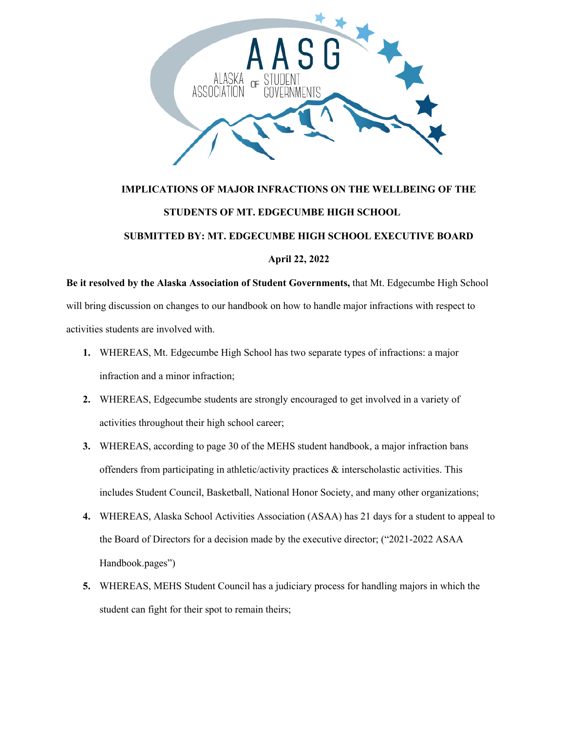

## **IMPLICATIONS OF MAJOR INFRACTIONS ON THE WELLBEING OF THE STUDENTS OF MT. EDGECUMBE HIGH SCHOOL SUBMITTED BY: MT. EDGECUMBE HIGH SCHOOL EXECUTIVE BOARD April 22, 2022**

**Be it resolved by the Alaska Association of Student Governments,** that Mt. Edgecumbe High School will bring discussion on changes to our handbook on how to handle major infractions with respect to activities students are involved with.

- **1.** WHEREAS, Mt. Edgecumbe High School has two separate types of infractions: a major infraction and a minor infraction;
- **2.** WHEREAS, Edgecumbe students are strongly encouraged to get involved in a variety of activities throughout their high school career;
- **3.** WHEREAS, according to page 30 of the MEHS student handbook, a major infraction bans offenders from participating in athletic/activity practices  $\&$  interscholastic activities. This includes Student Council, Basketball, National Honor Society, and many other organizations;
- **4.** WHEREAS, Alaska School Activities Association (ASAA) has 21 days for a student to appeal to the Board of Directors for a decision made by the executive director; ("2021-2022 ASAA Handbook.pages")
- **5.** WHEREAS, MEHS Student Council has a judiciary process for handling majors in which the student can fight for their spot to remain theirs;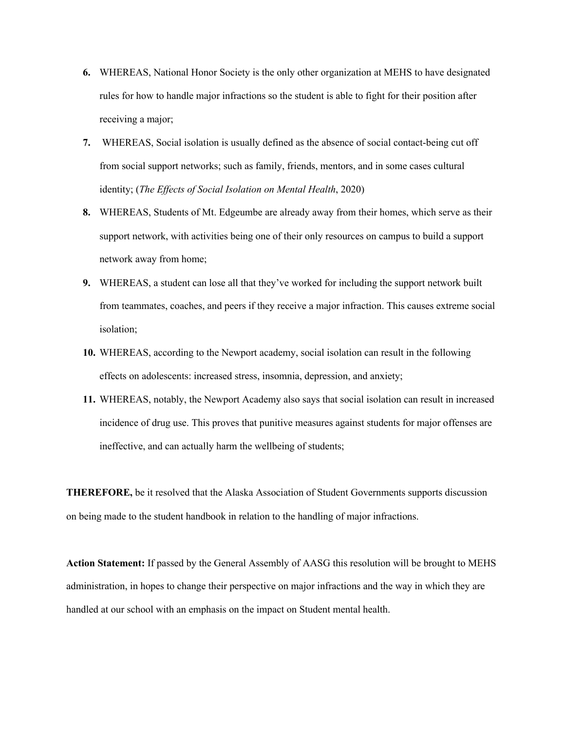- **6.** WHEREAS, National Honor Society is the only other organization at MEHS to have designated rules for how to handle major infractions so the student is able to fight for their position after receiving a major;
- **7.** WHEREAS, Social isolation is usually defined as the absence of social contact-being cut off from social support networks; such as family, friends, mentors, and in some cases cultural identity; (*The Effects of Social Isolation on Mental Health*, 2020)
- **8.** WHEREAS, Students of Mt. Edgeumbe are already away from their homes, which serve as their support network, with activities being one of their only resources on campus to build a support network away from home;
- **9.** WHEREAS, a student can lose all that they've worked for including the support network built from teammates, coaches, and peers if they receive a major infraction. This causes extreme social isolation;
- **10.** WHEREAS, according to the Newport academy, social isolation can result in the following effects on adolescents: increased stress, insomnia, depression, and anxiety;
- **11.** WHEREAS, notably, the Newport Academy also says that social isolation can result in increased incidence of drug use. This proves that punitive measures against students for major offenses are ineffective, and can actually harm the wellbeing of students;

**THEREFORE,** be it resolved that the Alaska Association of Student Governments supports discussion on being made to the student handbook in relation to the handling of major infractions.

**Action Statement:** If passed by the General Assembly of AASG this resolution will be brought to MEHS administration, in hopes to change their perspective on major infractions and the way in which they are handled at our school with an emphasis on the impact on Student mental health.